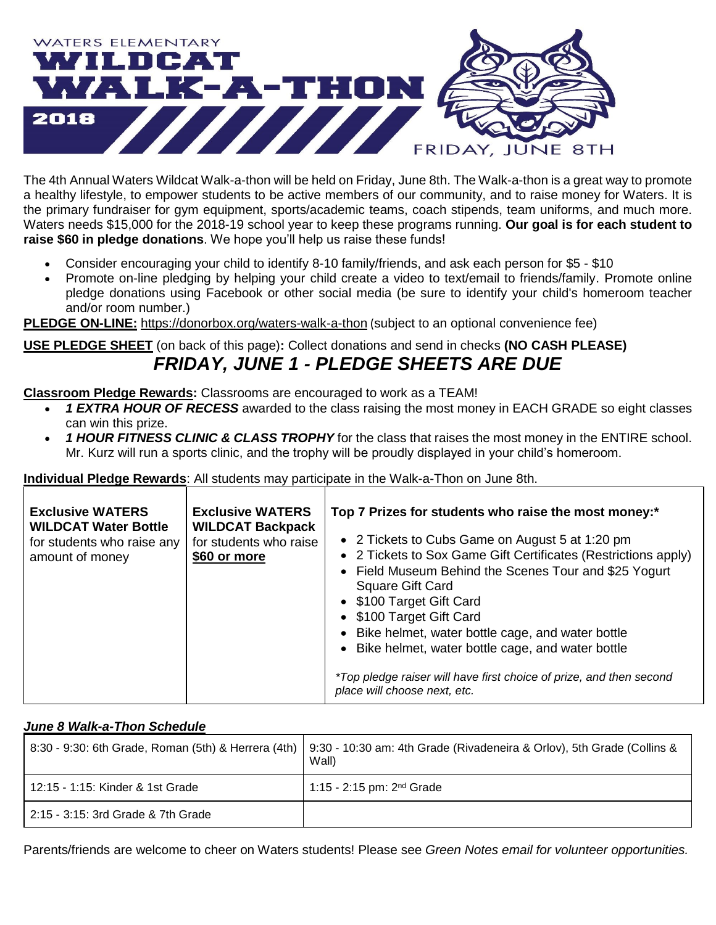

The 4th Annual Waters Wildcat Walk-a-thon will be held on Friday, June 8th. The Walk-a-thon is a great way to promote a healthy lifestyle, to empower students to be active members of our community, and to raise money for Waters. It is the primary fundraiser for gym equipment, sports/academic teams, coach stipends, team uniforms, and much more. Waters needs \$15,000 for the 2018-19 school year to keep these programs running. **Our goal is for each student to raise \$60 in pledge donations**. We hope you'll help us raise these funds!

- Consider encouraging your child to identify 8-10 family/friends, and ask each person for \$5 \$10
- Promote on-line pledging by helping your child create a video to text/email to friends/family. Promote online pledge donations using Facebook or other social media (be sure to identify your child's homeroom teacher and/or room number.)

**PLEDGE ON-LINE:** <https://donorbox.org/waters-walk-a-thon> (subject to an optional convenience fee)

### **USE PLEDGE SHEET** (on back of this page)**:** Collect donations and send in checks **(NO CASH PLEASE)**

## *FRIDAY, JUNE 1 - PLEDGE SHEETS ARE DUE*

**Classroom Pledge Rewards:** Classrooms are encouraged to work as a TEAM!

- *1 EXTRA HOUR OF RECESS* awarded to the class raising the most money in EACH GRADE so eight classes can win this prize.
- *1 HOUR FITNESS CLINIC & CLASS TROPHY* for the class that raises the most money in the ENTIRE school. Mr. Kurz will run a sports clinic, and the trophy will be proudly displayed in your child's homeroom.

#### **Individual Pledge Rewards**: All students may participate in the Walk-a-Thon on June 8th.

| <b>Exclusive WATERS</b><br><b>WILDCAT Water Bottle</b><br>for students who raise any<br>amount of money | <b>Exclusive WATERS</b><br><b>WILDCAT Backpack</b><br>for students who raise<br>\$60 or more | Top 7 Prizes for students who raise the most money:*<br>• 2 Tickets to Cubs Game on August 5 at 1:20 pm<br>• 2 Tickets to Sox Game Gift Certificates (Restrictions apply)<br>• Field Museum Behind the Scenes Tour and \$25 Yogurt<br><b>Square Gift Card</b><br>• \$100 Target Gift Card<br>• \$100 Target Gift Card<br>• Bike helmet, water bottle cage, and water bottle<br>• Bike helmet, water bottle cage, and water bottle<br>*Top pledge raiser will have first choice of prize, and then second<br>place will choose next, etc. |
|---------------------------------------------------------------------------------------------------------|----------------------------------------------------------------------------------------------|------------------------------------------------------------------------------------------------------------------------------------------------------------------------------------------------------------------------------------------------------------------------------------------------------------------------------------------------------------------------------------------------------------------------------------------------------------------------------------------------------------------------------------------|
|---------------------------------------------------------------------------------------------------------|----------------------------------------------------------------------------------------------|------------------------------------------------------------------------------------------------------------------------------------------------------------------------------------------------------------------------------------------------------------------------------------------------------------------------------------------------------------------------------------------------------------------------------------------------------------------------------------------------------------------------------------------|

#### *June 8 Walk-a-Thon Schedule*

| 8:30 - 9:30: 6th Grade, Roman (5th) & Herrera (4th) | 9:30 - 10:30 am: 4th Grade (Rivadeneira & Orlov), 5th Grade (Collins &<br>Wall) |
|-----------------------------------------------------|---------------------------------------------------------------------------------|
| 12:15 - 1:15: Kinder & 1st Grade                    | 1:15 - 2:15 pm: $2^{nd}$ Grade                                                  |
| 2:15 - 3:15: 3rd Grade & 7th Grade                  |                                                                                 |

Parents/friends are welcome to cheer on Waters students! Please see *Green Notes email for volunteer opportunities.*